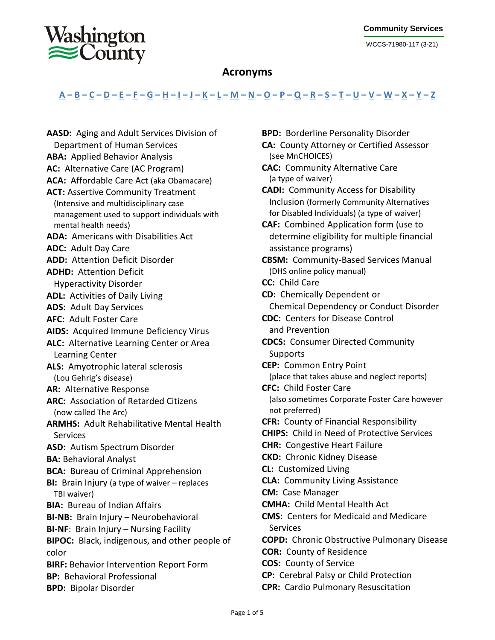WCCS-71980-117 (3-21)

## **Acronyms**

## <u> [A](#page-0-0) – [B](#page-0-1) – [C](#page-0-2) – [D](#page-1-0) – [E](#page-1-1) – [F](#page-1-2) – [G](#page-1-3) – [H](#page-1-4) – [I](#page-2-0) – [J](#page-2-1) – [K](#page-2-1) – [L](#page-2-1) – [M](#page-2-2) – [N](#page-3-0) – [O](#page-3-1) – [P](#page-3-2) – [Q](#page-3-3) – [R](#page-3-4) – [S](#page-4-0) – [T](#page-4-1) – [U](#page-4-2) – [V](#page-4-3) – [W](#page-4-4) – [X](#page-4-5) – [Y](#page-4-5) – [Z](#page-4-5)</u>

<span id="page-0-2"></span><span id="page-0-1"></span><span id="page-0-0"></span>**AASD:** Aging and Adult Services Division of Department of Human Services **ABA:** Applied Behavior Analysis **AC:** Alternative Care (AC Program) **ACA:** Affordable Care Act (aka Obamacare) **ACT:** Assertive Community Treatment (Intensive and multidisciplinary case management used to support individuals with mental health needs) **ADA:** Americans with Disabilities Act **ADC:** Adult Day Care **ADD:** Attention Deficit Disorder **ADHD:** Attention Deficit Hyperactivity Disorder **ADL:** Activities of Daily Living **ADS:** Adult Day Services **AFC:** Adult Foster Care **AIDS:** Acquired Immune Deficiency Virus **ALC:** Alternative Learning Center or Area Learning Center **ALS:** Amyotrophic lateral sclerosis (Lou Gehrig's disease) **AR:** Alternative Response **ARC:** Association of Retarded Citizens (now called The Arc) **ARMHS:** Adult Rehabilitative Mental Health **Services ASD:** Autism Spectrum Disorder **BA:** Behavioral Analyst **BCA:** Bureau of Criminal Apprehension **BI:** Brain Injury (a type of waiver – replaces TBI waiver) **BIA:** Bureau of Indian Affairs **BI-NB:** Brain Injury – Neurobehavioral **BI-NF**: Brain Injury – Nursing Facility **BIPOC:** Black, indigenous, and other people of color **BIRF:** Behavior Intervention Report Form **BP:** Behavioral Professional **BPD:** Bipolar Disorder

**BPD:** Borderline Personality Disorder **CA:** County Attorney or Certified Assessor (see MnCHOICES) **CAC:** Community Alternative Care (a type of waiver) **CADI:** Community Access for Disability Inclusion (formerly Community Alternatives for Disabled Individuals) (a type of waiver) **CAF:** Combined Application form (use to determine eligibility for multiple financial assistance programs) **CBSM:** Community-Based Services Manual (DHS online policy manual) **CC:** Child Care **CD:** Chemically Dependent or Chemical Dependency or Conduct Disorder **CDC:** Centers for Disease Control and Prevention **CDCS:** Consumer Directed Community Supports **CEP:** Common Entry Point (place that takes abuse and neglect reports) **CFC:** Child Foster Care (also sometimes Corporate Foster Care however not preferred) **CFR:** County of Financial Responsibility **CHIPS:** Child in Need of Protective Services **CHR:** Congestive Heart Failure **CKD:** Chronic Kidney Disease **CL:** Customized Living **CLA:** Community Living Assistance **CM:** Case Manager **CMHA:** Child Mental Health Act **CMS:** Centers for Medicaid and Medicare Services **COPD:** Chronic Obstructive Pulmonary Disease **COR:** County of Residence **COS:** County of Service **CP:** Cerebral Palsy or Child Protection **CPR:** Cardio Pulmonary Resuscitation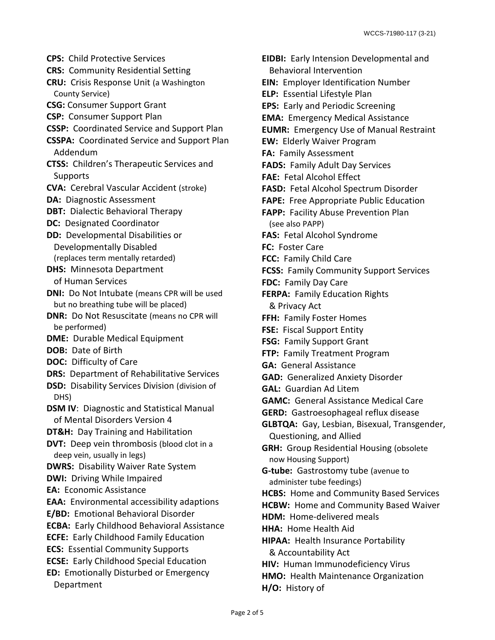<span id="page-1-1"></span><span id="page-1-0"></span>**CPS:** Child Protective Services **CRS:** Community Residential Setting **CRU:** Crisis Response Unit (a Washington County Service) **CSG:** Consumer Support Grant **CSP:** Consumer Support Plan **CSSP:** Coordinated Service and Support Plan **CSSPA:** Coordinated Service and Support Plan Addendum **CTSS:** Children's Therapeutic Services and **Supports CVA:** Cerebral Vascular Accident (stroke) **DA:** Diagnostic Assessment **DBT:** Dialectic Behavioral Therapy **DC:** Designated Coordinator **DD:** Developmental Disabilities or Developmentally Disabled (replaces term mentally retarded) **DHS:** Minnesota Department of Human Services **DNI:** Do Not Intubate (means CPR will be used but no breathing tube will be placed) **DNR:** Do Not Resuscitate (means no CPR will be performed) **DME:** Durable Medical Equipment **DOB:** Date of Birth **DOC:** Difficulty of Care **DRS:** Department of Rehabilitative Services **DSD:** Disability Services Division (division of DHS) **DSM IV**: Diagnostic and Statistical Manual of Mental Disorders Version 4 **DT&H:** Day Training and Habilitation **DVT:** Deep vein thrombosis (blood clot in a deep vein, usually in legs) **DWRS:** Disability Waiver Rate System **DWI:** Driving While Impaired **EA:** Economic Assistance **EAA:** Environmental accessibility adaptions **E/BD:** Emotional Behavioral Disorder **ECBA:** Early Childhood Behavioral Assistance **ECFE:** Early Childhood Family Education **ECS:** Essential Community Supports **ECSE:** Early Childhood Special Education **ED:** Emotionally Disturbed or Emergency Department

<span id="page-1-4"></span><span id="page-1-3"></span><span id="page-1-2"></span>**EIDBI:** Early Intension Developmental and Behavioral Intervention **EIN:** Employer Identification Number **ELP:** Essential Lifestyle Plan **EPS:** Early and Periodic Screening **EMA:** Emergency Medical Assistance **EUMR:** Emergency Use of Manual Restraint **EW:** Elderly Waiver Program **FA:** Family Assessment **FADS:** Family Adult Day Services **FAE:** Fetal Alcohol Effect **FASD:** Fetal Alcohol Spectrum Disorder **FAPE:** Free Appropriate Public Education **FAPP:** Facility Abuse Prevention Plan (see also PAPP) **FAS:** Fetal Alcohol Syndrome **FC:** Foster Care **FCC:** Family Child Care **FCSS:** Family Community Support Services **FDC:** Family Day Care **FERPA:** Family Education Rights & Privacy Act **FFH:** Family Foster Homes **FSE:** Fiscal Support Entity **FSG:** Family Support Grant **FTP:** Family Treatment Program **GA:** General Assistance **GAD:** Generalized Anxiety Disorder **GAL:** Guardian Ad Litem **GAMC:** General Assistance Medical Care **GERD:** Gastroesophageal reflux disease **GLBTQA:** Gay, Lesbian, Bisexual, Transgender, Questioning, and Allied **GRH:** Group Residential Housing (obsolete now Housing Support) **G-tube:** Gastrostomy tube (avenue to administer tube feedings) **HCBS:** Home and Community Based Services **HCBW:** Home and Community Based Waiver **HDM:** Home-delivered meals **HHA:** Home Health Aid **HIPAA:** Health Insurance Portability & Accountability Act **HIV:** Human Immunodeficiency Virus **HMO:** Health Maintenance Organization **H/O:** History of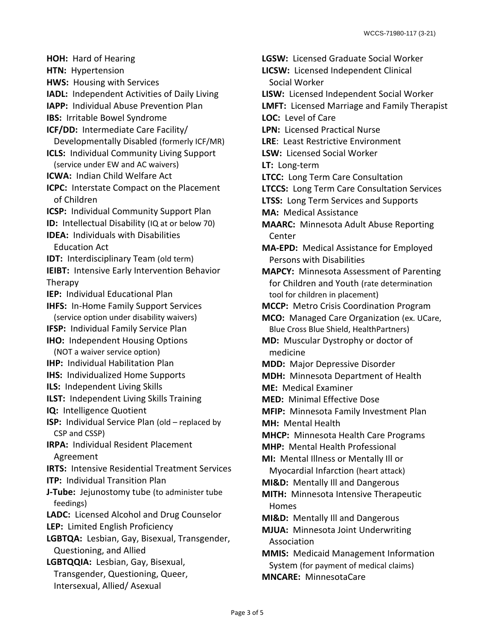<span id="page-2-1"></span><span id="page-2-0"></span>**HOH:** Hard of Hearing **HTN:** Hypertension **HWS:** Housing with Services **IADL:** Independent Activities of Daily Living **IAPP:** Individual Abuse Prevention Plan **IBS:** Irritable Bowel Syndrome **ICF/DD:** Intermediate Care Facility/ Developmentally Disabled (formerly ICF/MR) **ICLS:** Individual Community Living Support (service under EW and AC waivers) **ICWA:** Indian Child Welfare Act **ICPC:** Interstate Compact on the Placement of Children **ICSP:** Individual Community Support Plan **ID:** Intellectual Disability (IQ at or below 70) **IDEA:** Individuals with Disabilities Education Act **IDT:** Interdisciplinary Team (old term) **IEIBT:** Intensive Early Intervention Behavior **Therapy IEP:** Individual Educational Plan **IHFS:** In-Home Family Support Services (service option under disability waivers) **IFSP:** Individual Family Service Plan **IHO:** Independent Housing Options (NOT a waiver service option) **IHP:** Individual Habilitation Plan **IHS:** Individualized Home Supports **ILS:** Independent Living Skills **ILST:** Independent Living Skills Training **IQ:** Intelligence Quotient **ISP:** Individual Service Plan (old – replaced by CSP and CSSP) **IRPA:** Individual Resident Placement Agreement **IRTS:** Intensive Residential Treatment Services **ITP:** Individual Transition Plan **J-Tube:** Jejunostomy tube (to administer tube feedings) **LADC:** Licensed Alcohol and Drug Counselor **LEP:** Limited English Proficiency **LGBTQA:** Lesbian, Gay, Bisexual, Transgender, Questioning, and Allied **LGBTQQIA:** Lesbian, Gay, Bisexual, Transgender, Questioning, Queer, Intersexual, Allied/ Asexual

<span id="page-2-2"></span>**LGSW:** Licensed Graduate Social Worker **LICSW:** Licensed Independent Clinical Social Worker **LISW:** Licensed Independent Social Worker **LMFT:** Licensed Marriage and Family Therapist **LOC:** Level of Care **LPN:** Licensed Practical Nurse **LRE**: Least Restrictive Environment **LSW:** Licensed Social Worker **LT:** Long-term **LTCC:** Long Term Care Consultation **LTCCS:** Long Term Care Consultation Services **LTSS:** Long Term Services and Supports **MA:** Medical Assistance **MAARC:** Minnesota Adult Abuse Reporting Center **MA-EPD:** Medical Assistance for Employed Persons with Disabilities **MAPCY:** Minnesota Assessment of Parenting for Children and Youth (rate determination tool for children in placement) **MCCP:** Metro Crisis Coordination Program **MCO:** Managed Care Organization (ex. UCare, Blue Cross Blue Shield, HealthPartners) **MD:** Muscular Dystrophy or doctor of medicine **MDD:** Major Depressive Disorder **MDH:** Minnesota Department of Health **ME:** Medical Examiner **MED:** Minimal Effective Dose **MFIP:** Minnesota Family Investment Plan **MH:** Mental Health **MHCP:** Minnesota Health Care Programs **MHP:** Mental Health Professional **MI:** Mental Illness or Mentally Ill or Myocardial Infarction (heart attack) **MI&D:** Mentally Ill and Dangerous **MITH:** Minnesota Intensive Therapeutic Homes **MI&D:** Mentally Ill and Dangerous **MJUA:** Minnesota Joint Underwriting Association **MMIS:** Medicaid Management Information System (for payment of medical claims) **MNCARE:** MinnesotaCare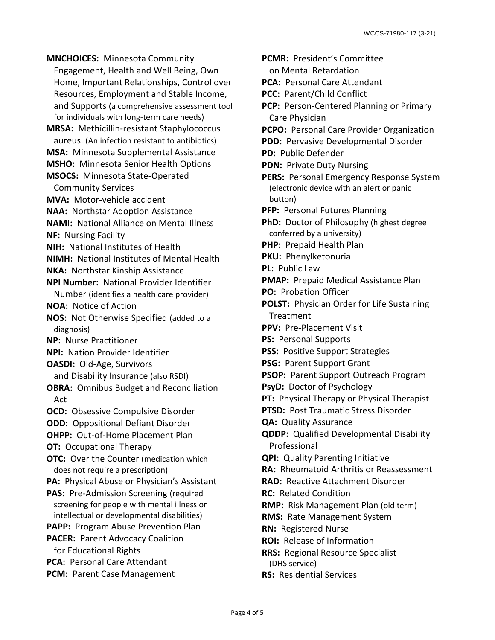<span id="page-3-0"></span>**MNCHOICES:** Minnesota Community Engagement, Health and Well Being, Own Home, Important Relationships, Control over Resources, Employment and Stable Income, and Supports (a comprehensive assessment tool for individuals with long-term care needs) **MRSA:** Methicillin-resistant Staphylococcus aureus. (An infection resistant to antibiotics) **MSA:** Minnesota Supplemental Assistance **MSHO:** Minnesota Senior Health Options **MSOCS:** Minnesota State-Operated Community Services **MVA:** Motor-vehicle accident **NAA:** Northstar Adoption Assistance **NAMI:** National Alliance on Mental Illness **NF:** Nursing Facility **NIH:** National Institutes of Health **NIMH:** National Institutes of Mental Health **NKA:** Northstar Kinship Assistance **NPI Number:** National Provider Identifier Number (identifies a health care provider) **NOA:** Notice of Action **NOS:** Not Otherwise Specified (added to a diagnosis) **NP:** Nurse Practitioner **NPI:** Nation Provider Identifier **OASDI:** Old-Age, Survivors and Disability Insurance (also RSDI) **OBRA:** Omnibus Budget and Reconciliation Act **OCD:** Obsessive Compulsive Disorder **ODD:** Oppositional Defiant Disorder **OHPP:** Out-of-Home Placement Plan **OT:** Occupational Therapy **OTC:** Over the Counter (medication which does not require a prescription) **PA:** Physical Abuse or Physician's Assistant **PAS:** Pre-Admission Screening (required screening for people with mental illness or intellectual or developmental disabilities) **PAPP:** Program Abuse Prevention Plan **PACER:** Parent Advocacy Coalition for Educational Rights **PCA:** Personal Care Attendant **PCM:** Parent Case Management

**PCMR:** President's Committee on Mental Retardation **PCA:** Personal Care Attendant **PCC:** Parent/Child Conflict **PCP:** Person-Centered Planning or Primary Care Physician **PCPO:** Personal Care Provider Organization **PDD:** Pervasive Developmental Disorder **PD:** Public Defender **PDN:** Private Duty Nursing **PERS:** Personal Emergency Response System (electronic device with an alert or panic button) **PFP:** Personal Futures Planning **PhD:** Doctor of Philosophy (highest degree conferred by a university) **PHP:** Prepaid Health Plan **PKU:** Phenylketonuria **PL:** Public Law **PMAP:** Prepaid Medical Assistance Plan **PO:** Probation Officer **POLST:** Physician Order for Life Sustaining **Treatment PPV:** Pre-Placement Visit **PS:** Personal Supports **PSS:** Positive Support Strategies **PSG:** Parent Support Grant **PSOP:** Parent Support Outreach Program **PsyD:** Doctor of Psychology **PT:** Physical Therapy or Physical Therapist **PTSD:** Post Traumatic Stress Disorder **QA:** Quality Assurance **QDDP:** Qualified Developmental Disability Professional **QPI:** Quality Parenting Initiative **RA:** Rheumatoid Arthritis or Reassessment **RAD:** Reactive Attachment Disorder **RC:** Related Condition **RMP:** Risk Management Plan (old term) **RMS:** Rate Management System **RN:** Registered Nurse **ROI:** Release of Information **RRS:** Regional Resource Specialist (DHS service)

<span id="page-3-4"></span><span id="page-3-3"></span><span id="page-3-2"></span><span id="page-3-1"></span>**RS:** Residential Services